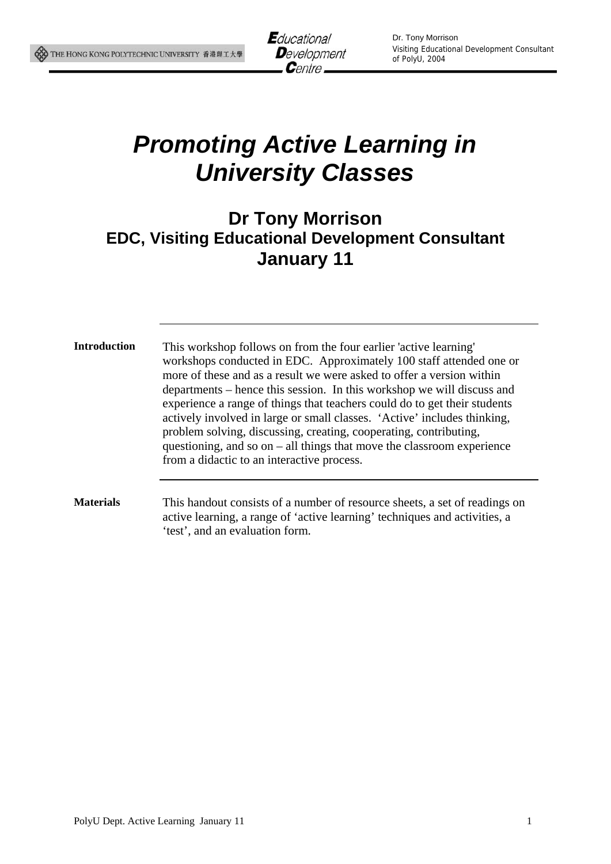

# *Promoting Active Learning in University Classes*

## **Dr Tony Morrison EDC, Visiting Educational Development Consultant January 11**

**Introduction** This workshop follows on from the four earlier 'active learning' workshops conducted in EDC. Approximately 100 staff attended one or more of these and as a result we were asked to offer a version within departments – hence this session. In this workshop we will discuss and experience a range of things that teachers could do to get their students actively involved in large or small classes. 'Active' includes thinking, problem solving, discussing, creating, cooperating, contributing, questioning, and so on – all things that move the classroom experience from a didactic to an interactive process.

**Materials** This handout consists of a number of resource sheets, a set of readings on active learning, a range of 'active learning' techniques and activities, a 'test', and an evaluation form.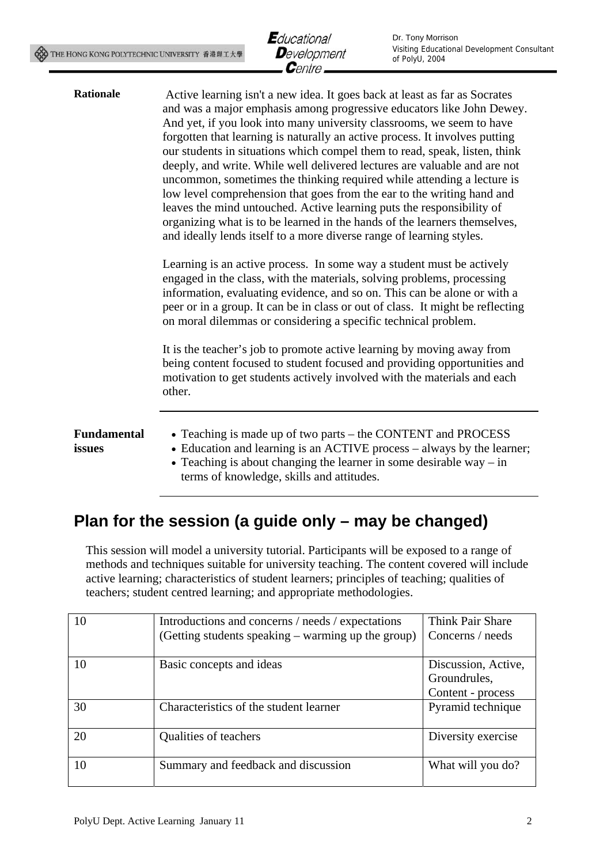

| <b>Rationale</b>             | Active learning isn't a new idea. It goes back at least as far as Socrates<br>and was a major emphasis among progressive educators like John Dewey.<br>And yet, if you look into many university classrooms, we seem to have<br>forgotten that learning is naturally an active process. It involves putting<br>our students in situations which compel them to read, speak, listen, think<br>deeply, and write. While well delivered lectures are valuable and are not<br>uncommon, sometimes the thinking required while attending a lecture is<br>low level comprehension that goes from the ear to the writing hand and<br>leaves the mind untouched. Active learning puts the responsibility of<br>organizing what is to be learned in the hands of the learners themselves,<br>and ideally lends itself to a more diverse range of learning styles.<br>Learning is an active process. In some way a student must be actively<br>engaged in the class, with the materials, solving problems, processing<br>information, evaluating evidence, and so on. This can be alone or with a<br>peer or in a group. It can be in class or out of class. It might be reflecting<br>on moral dilemmas or considering a specific technical problem.<br>It is the teacher's job to promote active learning by moving away from<br>being content focused to student focused and providing opportunities and<br>motivation to get students actively involved with the materials and each |
|------------------------------|-------------------------------------------------------------------------------------------------------------------------------------------------------------------------------------------------------------------------------------------------------------------------------------------------------------------------------------------------------------------------------------------------------------------------------------------------------------------------------------------------------------------------------------------------------------------------------------------------------------------------------------------------------------------------------------------------------------------------------------------------------------------------------------------------------------------------------------------------------------------------------------------------------------------------------------------------------------------------------------------------------------------------------------------------------------------------------------------------------------------------------------------------------------------------------------------------------------------------------------------------------------------------------------------------------------------------------------------------------------------------------------------------------------------------------------------------------------------------------|
|                              | other.                                                                                                                                                                                                                                                                                                                                                                                                                                                                                                                                                                                                                                                                                                                                                                                                                                                                                                                                                                                                                                                                                                                                                                                                                                                                                                                                                                                                                                                                        |
| <b>Fundamental</b><br>issues | • Teaching is made up of two parts – the CONTENT and PROCESS<br>• Education and learning is an ACTIVE process – always by the learner;<br>• Teaching is about changing the learner in some desirable way $-$ in<br>terms of knowledge, skills and attitudes.                                                                                                                                                                                                                                                                                                                                                                                                                                                                                                                                                                                                                                                                                                                                                                                                                                                                                                                                                                                                                                                                                                                                                                                                                  |

# **Plan for the session (a guide only – may be changed)**

This session will model a university tutorial. Participants will be exposed to a range of methods and techniques suitable for university teaching. The content covered will include active learning; characteristics of student learners; principles of teaching; qualities of teachers; student centred learning; and appropriate methodologies.

| 10 | Introductions and concerns / needs / expectations<br>(Getting students speaking – warming up the group) | <b>Think Pair Share</b><br>Concerns / needs              |
|----|---------------------------------------------------------------------------------------------------------|----------------------------------------------------------|
| 10 | Basic concepts and ideas                                                                                | Discussion, Active,<br>Groundrules,<br>Content - process |
| 30 | Characteristics of the student learner                                                                  | Pyramid technique                                        |
| 20 | Qualities of teachers                                                                                   | Diversity exercise                                       |
| 10 | Summary and feedback and discussion                                                                     | What will you do?                                        |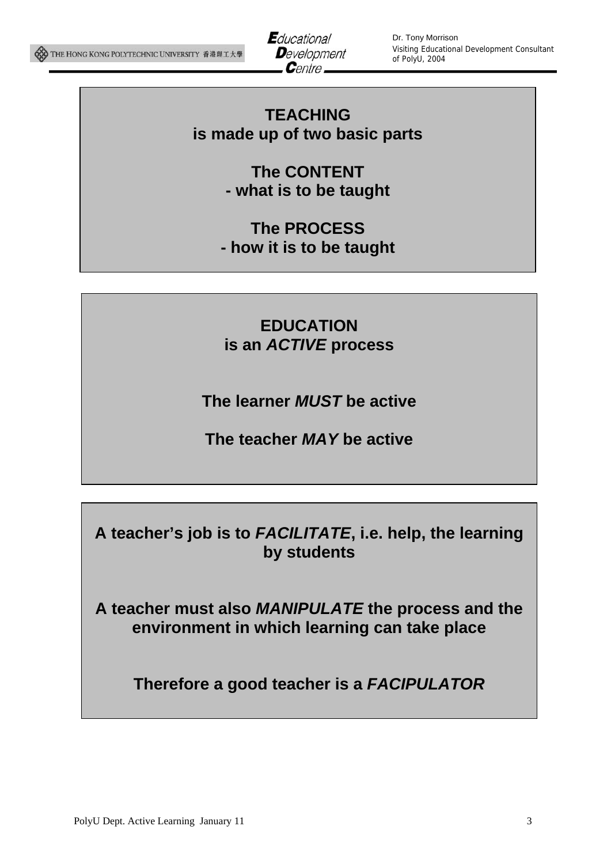

Dr. Tony Morrison Visiting Educational Development Consultant of PolyU, 2004

### **TEACHING is made up of two basic parts**

**The CONTENT - what is to be taught** 

**The PROCESS - how it is to be taught** 

**EDUCATION is an** *ACTIVE* **process** 

**The learner** *MUST* **be active** 

**The teacher** *MAY* **be active**

**A teacher's job is to** *FACILITATE***, i.e. help, the learning by students** 

**A teacher must also** *MANIPULATE* **the process and the environment in which learning can take place** 

**Therefore a good teacher is a** *FACIPULATOR*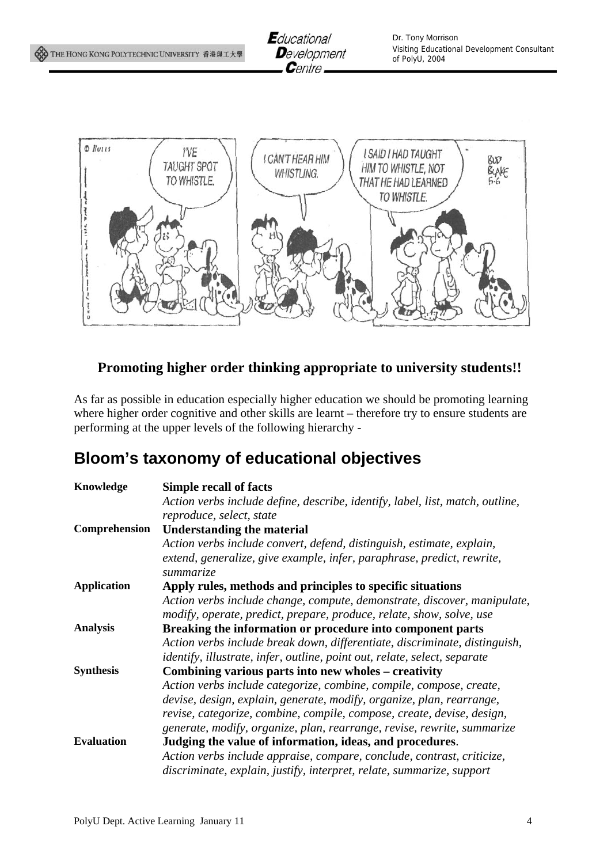



### **Promoting higher order thinking appropriate to university students!!**

As far as possible in education especially higher education we should be promoting learning where higher order cognitive and other skills are learnt – therefore try to ensure students are performing at the upper levels of the following hierarchy -

### **Bloom's taxonomy of educational objectives**

| Knowledge          | <b>Simple recall of facts</b>                                                                                                                    |
|--------------------|--------------------------------------------------------------------------------------------------------------------------------------------------|
|                    | Action verbs include define, describe, identify, label, list, match, outline,                                                                    |
|                    | reproduce, select, state                                                                                                                         |
| Comprehension      | <b>Understanding the material</b>                                                                                                                |
|                    | Action verbs include convert, defend, distinguish, estimate, explain,                                                                            |
|                    | extend, generalize, give example, infer, paraphrase, predict, rewrite,                                                                           |
|                    | summarize                                                                                                                                        |
| <b>Application</b> | Apply rules, methods and principles to specific situations                                                                                       |
|                    | Action verbs include change, compute, demonstrate, discover, manipulate,<br>modify, operate, predict, prepare, produce, relate, show, solve, use |
| <b>Analysis</b>    | Breaking the information or procedure into component parts                                                                                       |
|                    | Action verbs include break down, differentiate, discriminate, distinguish,                                                                       |
|                    | <i>identify, illustrate, infer, outline, point out, relate, select, separate</i>                                                                 |
| <b>Synthesis</b>   | Combining various parts into new wholes – creativity                                                                                             |
|                    | Action verbs include categorize, combine, compile, compose, create,                                                                              |
|                    | devise, design, explain, generate, modify, organize, plan, rearrange,                                                                            |
|                    | revise, categorize, combine, compile, compose, create, devise, design,                                                                           |
|                    | generate, modify, organize, plan, rearrange, revise, rewrite, summarize                                                                          |
| <b>Evaluation</b>  | Judging the value of information, ideas, and procedures.                                                                                         |
|                    | Action verbs include appraise, compare, conclude, contrast, criticize,                                                                           |
|                    | discriminate, explain, justify, interpret, relate, summarize, support                                                                            |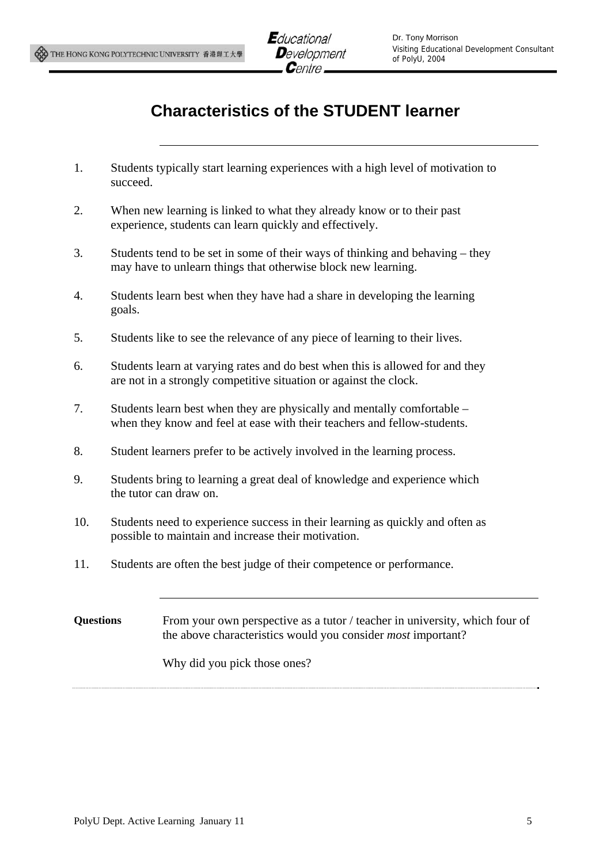# **Characteristics of the STUDENT learner**

- 1. Students typically start learning experiences with a high level of motivation to succeed.
- 2. When new learning is linked to what they already know or to their past experience, students can learn quickly and effectively.
- 3. Students tend to be set in some of their ways of thinking and behaving they may have to unlearn things that otherwise block new learning.
- 4. Students learn best when they have had a share in developing the learning goals.
- 5. Students like to see the relevance of any piece of learning to their lives.
- 6. Students learn at varying rates and do best when this is allowed for and they are not in a strongly competitive situation or against the clock.
- 7. Students learn best when they are physically and mentally comfortable when they know and feel at ease with their teachers and fellow-students.
- 8. Student learners prefer to be actively involved in the learning process.
- 9. Students bring to learning a great deal of knowledge and experience which the tutor can draw on.
- 10. Students need to experience success in their learning as quickly and often as possible to maintain and increase their motivation.
- 11. Students are often the best judge of their competence or performance.

**Questions** From your own perspective as a tutor / teacher in university, which four of the above characteristics would you consider *most* important?

Why did you pick those ones?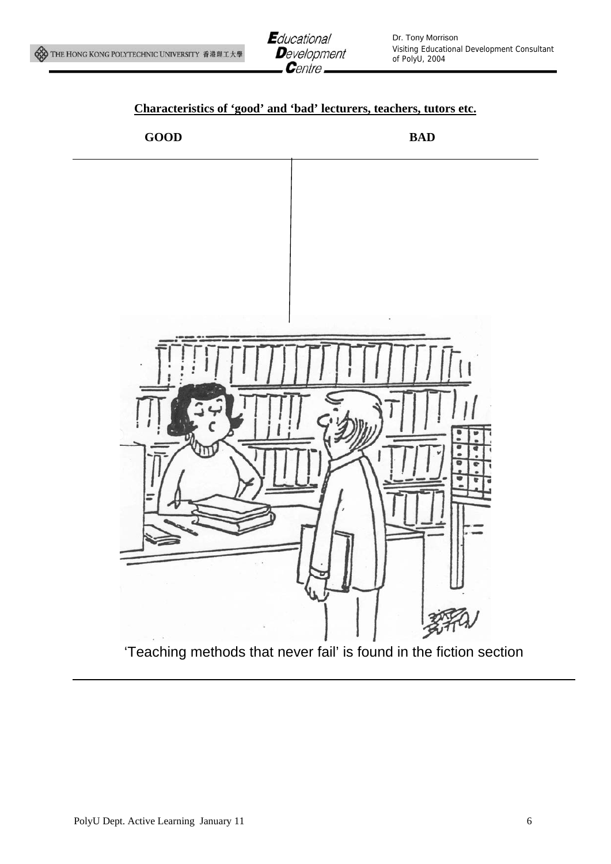



### **Characteristics of 'good' and 'bad' lecturers, teachers, tutors etc.**



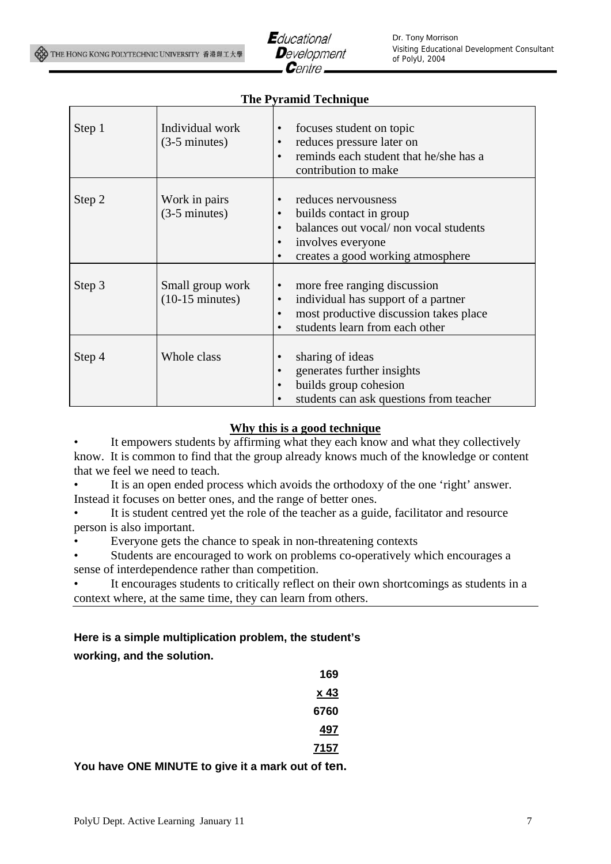

#### **The Pyramid Technique**

| Step 1 | Individual work<br>$(3-5$ minutes)            | focuses student on topic<br>$\bullet$<br>reduces pressure later on<br>$\bullet$<br>reminds each student that he/she has a<br>$\bullet$<br>contribution to make                                              |
|--------|-----------------------------------------------|-------------------------------------------------------------------------------------------------------------------------------------------------------------------------------------------------------------|
| Step 2 | Work in pairs<br>$(3-5$ minutes)              | reduces nervousness<br>$\bullet$<br>builds contact in group<br>٠<br>balances out vocal/ non vocal students<br>$\bullet$<br>involves everyone<br>$\bullet$<br>creates a good working atmosphere<br>$\bullet$ |
| Step 3 | Small group work<br>$(10-15 \text{ minutes})$ | more free ranging discussion<br>$\bullet$<br>individual has support of a partner<br>$\bullet$<br>most productive discussion takes place<br>students learn from each other<br>$\bullet$                      |
| Step 4 | Whole class                                   | sharing of ideas<br>generates further insights<br>builds group cohesion<br>$\bullet$<br>students can ask questions from teacher<br>$\bullet$                                                                |

#### **Why this is a good technique**

It empowers students by affirming what they each know and what they collectively know. It is common to find that the group already knows much of the knowledge or content that we feel we need to teach.

• It is an open ended process which avoids the orthodoxy of the one 'right' answer. Instead it focuses on better ones, and the range of better ones.

It is student centred yet the role of the teacher as a guide, facilitator and resource person is also important.

• Everyone gets the chance to speak in non-threatening contexts

• Students are encouraged to work on problems co-operatively which encourages a sense of interdependence rather than competition.

It encourages students to critically reflect on their own shortcomings as students in a context where, at the same time, they can learn from others.

#### **Here is a simple multiplication problem, the student's**

**working, and the solution.** 

| 169         |  |
|-------------|--|
| <u>x 43</u> |  |
| 6760        |  |
| 497         |  |
| 7157        |  |

**You have ONE MINUTE to give it a mark out of ten.**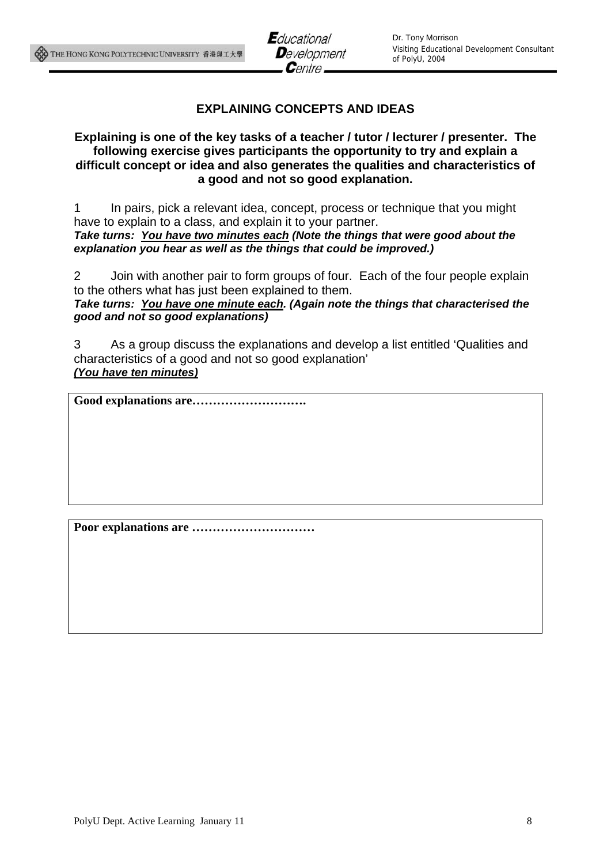### **EXPLAINING CONCEPTS AND IDEAS**

#### **Explaining is one of the key tasks of a teacher / tutor / lecturer / presenter. The following exercise gives participants the opportunity to try and explain a difficult concept or idea and also generates the qualities and characteristics of a good and not so good explanation.**

1 In pairs, pick a relevant idea, concept, process or technique that you might have to explain to a class, and explain it to your partner. *Take turns: You have two minutes each (Note the things that were good about the explanation you hear as well as the things that could be improved.)* 

2 Join with another pair to form groups of four. Each of the four people explain to the others what has just been explained to them. *Take turns: You have one minute each. (Again note the things that characterised the good and not so good explanations)* 

3 As a group discuss the explanations and develop a list entitled 'Qualities and characteristics of a good and not so good explanation' *(You have ten minutes)*

**Good explanations are……………………….** 

**Poor explanations are …………………………**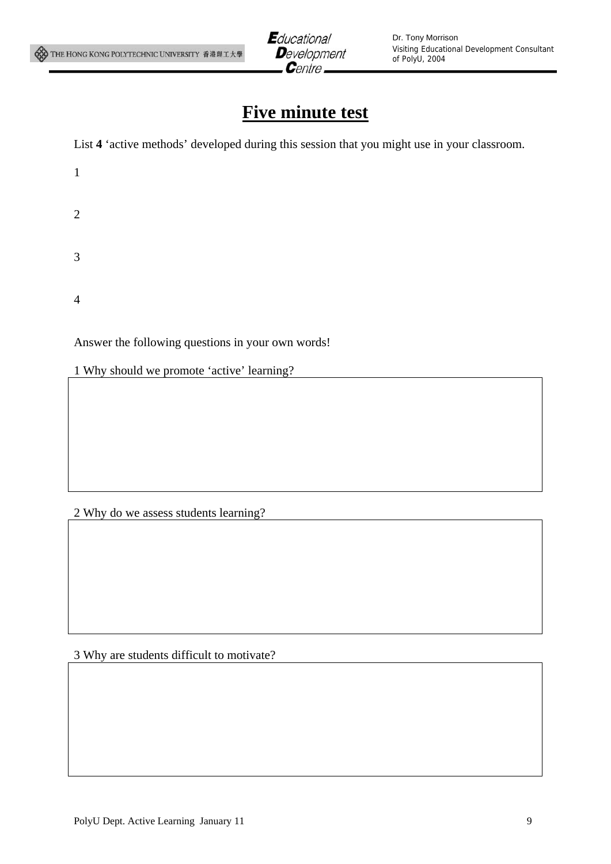

# **Five minute test**

List **4** 'active methods' developed during this session that you might use in your classroom.

| $\mathbf{1}$   |  |  |
|----------------|--|--|
| $\overline{2}$ |  |  |
| $\mathfrak{Z}$ |  |  |

4

Answer the following questions in your own words!

1 Why should we promote 'active' learning?

#### 2 Why do we assess students learning?

#### 3 Why are students difficult to motivate?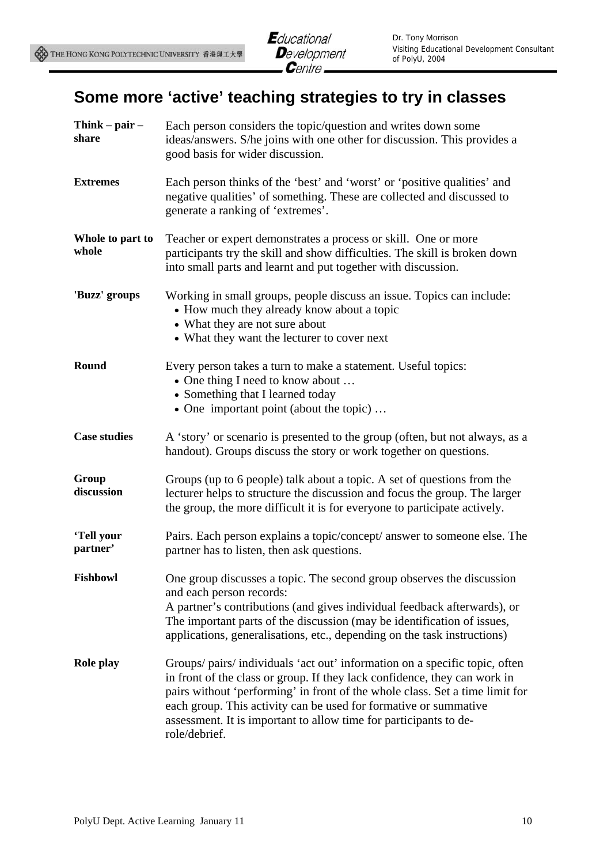# **Some more 'active' teaching strategies to try in classes**

| Think $-$ pair $-$<br>share | Each person considers the topic/question and writes down some<br>ideas/answers. S/he joins with one other for discussion. This provides a<br>good basis for wider discussion.                                                                                                                                                                                                                      |
|-----------------------------|----------------------------------------------------------------------------------------------------------------------------------------------------------------------------------------------------------------------------------------------------------------------------------------------------------------------------------------------------------------------------------------------------|
| <b>Extremes</b>             | Each person thinks of the 'best' and 'worst' or 'positive qualities' and<br>negative qualities' of something. These are collected and discussed to<br>generate a ranking of 'extremes'.                                                                                                                                                                                                            |
| Whole to part to<br>whole   | Teacher or expert demonstrates a process or skill. One or more<br>participants try the skill and show difficulties. The skill is broken down<br>into small parts and learnt and put together with discussion.                                                                                                                                                                                      |
| 'Buzz' groups               | Working in small groups, people discuss an issue. Topics can include:<br>• How much they already know about a topic<br>• What they are not sure about<br>• What they want the lecturer to cover next                                                                                                                                                                                               |
| Round                       | Every person takes a turn to make a statement. Useful topics:<br>• One thing I need to know about<br>• Something that I learned today<br>• One important point (about the topic)                                                                                                                                                                                                                   |
| <b>Case studies</b>         | A 'story' or scenario is presented to the group (often, but not always, as a<br>handout). Groups discuss the story or work together on questions.                                                                                                                                                                                                                                                  |
| Group<br>discussion         | Groups (up to 6 people) talk about a topic. A set of questions from the<br>lecturer helps to structure the discussion and focus the group. The larger<br>the group, the more difficult it is for everyone to participate actively.                                                                                                                                                                 |
| 'Tell your<br>partner'      | Pairs. Each person explains a topic/concept/ answer to someone else. The<br>partner has to listen, then ask questions.                                                                                                                                                                                                                                                                             |
| <b>Fishbowl</b>             | One group discusses a topic. The second group observes the discussion<br>and each person records:<br>A partner's contributions (and gives individual feedback afterwards), or<br>The important parts of the discussion (may be identification of issues,<br>applications, generalisations, etc., depending on the task instructions)                                                               |
| Role play                   | Groups/ pairs/ individuals 'act out' information on a specific topic, often<br>in front of the class or group. If they lack confidence, they can work in<br>pairs without 'performing' in front of the whole class. Set a time limit for<br>each group. This activity can be used for formative or summative<br>assessment. It is important to allow time for participants to de-<br>role/debrief. |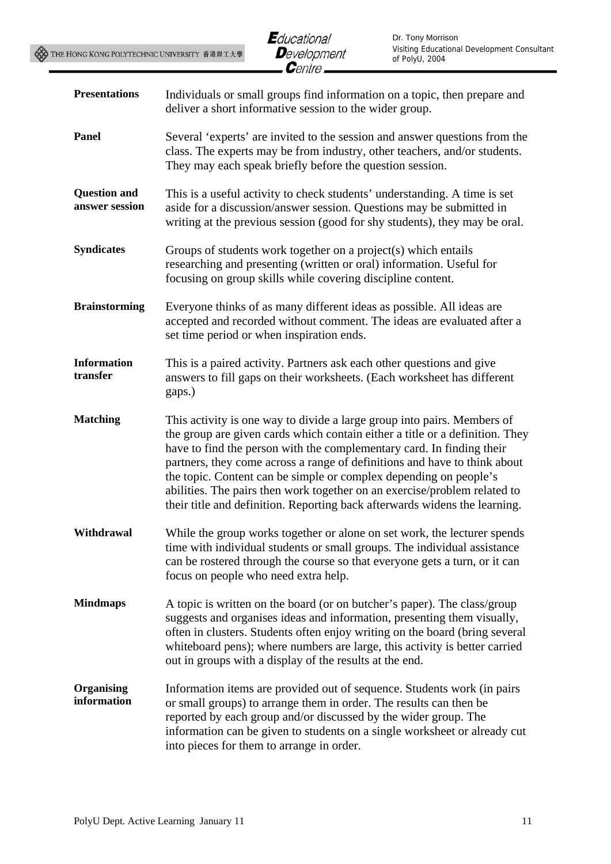| <b>Presentations</b>                  | Individuals or small groups find information on a topic, then prepare and<br>deliver a short informative session to the wider group.                                                                                                                                                                                                                                                                                                                                                                                                          |
|---------------------------------------|-----------------------------------------------------------------------------------------------------------------------------------------------------------------------------------------------------------------------------------------------------------------------------------------------------------------------------------------------------------------------------------------------------------------------------------------------------------------------------------------------------------------------------------------------|
| Panel                                 | Several 'experts' are invited to the session and answer questions from the<br>class. The experts may be from industry, other teachers, and/or students.<br>They may each speak briefly before the question session.                                                                                                                                                                                                                                                                                                                           |
| <b>Question and</b><br>answer session | This is a useful activity to check students' understanding. A time is set<br>aside for a discussion/answer session. Questions may be submitted in<br>writing at the previous session (good for shy students), they may be oral.                                                                                                                                                                                                                                                                                                               |
| <b>Syndicates</b>                     | Groups of students work together on a project(s) which entails<br>researching and presenting (written or oral) information. Useful for<br>focusing on group skills while covering discipline content.                                                                                                                                                                                                                                                                                                                                         |
| <b>Brainstorming</b>                  | Everyone thinks of as many different ideas as possible. All ideas are<br>accepted and recorded without comment. The ideas are evaluated after a<br>set time period or when inspiration ends.                                                                                                                                                                                                                                                                                                                                                  |
| <b>Information</b><br>transfer        | This is a paired activity. Partners ask each other questions and give<br>answers to fill gaps on their worksheets. (Each worksheet has different<br>gaps.)                                                                                                                                                                                                                                                                                                                                                                                    |
| <b>Matching</b>                       | This activity is one way to divide a large group into pairs. Members of<br>the group are given cards which contain either a title or a definition. They<br>have to find the person with the complementary card. In finding their<br>partners, they come across a range of definitions and have to think about<br>the topic. Content can be simple or complex depending on people's<br>abilities. The pairs then work together on an exercise/problem related to<br>their title and definition. Reporting back afterwards widens the learning. |
| Withdrawal                            | While the group works together or alone on set work, the lecturer spends<br>time with individual students or small groups. The individual assistance<br>can be rostered through the course so that everyone gets a turn, or it can<br>focus on people who need extra help.                                                                                                                                                                                                                                                                    |
| <b>Mindmaps</b>                       | A topic is written on the board (or on butcher's paper). The class/group<br>suggests and organises ideas and information, presenting them visually,<br>often in clusters. Students often enjoy writing on the board (bring several<br>whiteboard pens); where numbers are large, this activity is better carried<br>out in groups with a display of the results at the end.                                                                                                                                                                   |
| Organising<br>information             | Information items are provided out of sequence. Students work (in pairs<br>or small groups) to arrange them in order. The results can then be<br>reported by each group and/or discussed by the wider group. The<br>information can be given to students on a single worksheet or already cut<br>into pieces for them to arrange in order.                                                                                                                                                                                                    |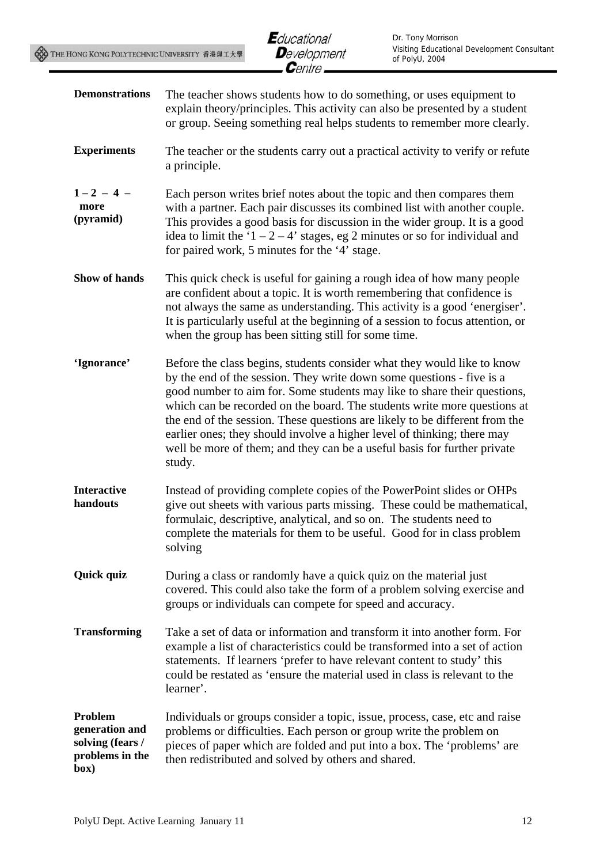| <b>Demonstrations</b>                                                    | The teacher shows students how to do something, or uses equipment to<br>explain theory/principles. This activity can also be presented by a student<br>or group. Seeing something real helps students to remember more clearly.                                                                                                                                                                                                                                                                                                                          |
|--------------------------------------------------------------------------|----------------------------------------------------------------------------------------------------------------------------------------------------------------------------------------------------------------------------------------------------------------------------------------------------------------------------------------------------------------------------------------------------------------------------------------------------------------------------------------------------------------------------------------------------------|
| <b>Experiments</b>                                                       | The teacher or the students carry out a practical activity to verify or refute<br>a principle.                                                                                                                                                                                                                                                                                                                                                                                                                                                           |
| $1 - 2 - 4 -$<br>more<br>(pyramid)                                       | Each person writes brief notes about the topic and then compares them<br>with a partner. Each pair discusses its combined list with another couple.<br>This provides a good basis for discussion in the wider group. It is a good<br>idea to limit the ' $1 - 2 - 4$ ' stages, eg 2 minutes or so for individual and<br>for paired work, 5 minutes for the '4' stage.                                                                                                                                                                                    |
| Show of hands                                                            | This quick check is useful for gaining a rough idea of how many people<br>are confident about a topic. It is worth remembering that confidence is<br>not always the same as understanding. This activity is a good 'energiser'.<br>It is particularly useful at the beginning of a session to focus attention, or<br>when the group has been sitting still for some time.                                                                                                                                                                                |
| 'Ignorance'                                                              | Before the class begins, students consider what they would like to know<br>by the end of the session. They write down some questions - five is a<br>good number to aim for. Some students may like to share their questions,<br>which can be recorded on the board. The students write more questions at<br>the end of the session. These questions are likely to be different from the<br>earlier ones; they should involve a higher level of thinking; there may<br>well be more of them; and they can be a useful basis for further private<br>study. |
| <b>Interactive</b><br>handouts                                           | Instead of providing complete copies of the PowerPoint slides or OHPs<br>give out sheets with various parts missing. These could be mathematical,<br>formulaic, descriptive, analytical, and so on. The students need to<br>complete the materials for them to be useful. Good for in class problem<br>solving                                                                                                                                                                                                                                           |
| Quick quiz                                                               | During a class or randomly have a quick quiz on the material just<br>covered. This could also take the form of a problem solving exercise and<br>groups or individuals can compete for speed and accuracy.                                                                                                                                                                                                                                                                                                                                               |
| <b>Transforming</b>                                                      | Take a set of data or information and transform it into another form. For<br>example a list of characteristics could be transformed into a set of action<br>statements. If learners 'prefer to have relevant content to study' this<br>could be restated as 'ensure the material used in class is relevant to the<br>learner'.                                                                                                                                                                                                                           |
| Problem<br>generation and<br>solving (fears /<br>problems in the<br>box) | Individuals or groups consider a topic, issue, process, case, etc and raise<br>problems or difficulties. Each person or group write the problem on<br>pieces of paper which are folded and put into a box. The 'problems' are<br>then redistributed and solved by others and shared.                                                                                                                                                                                                                                                                     |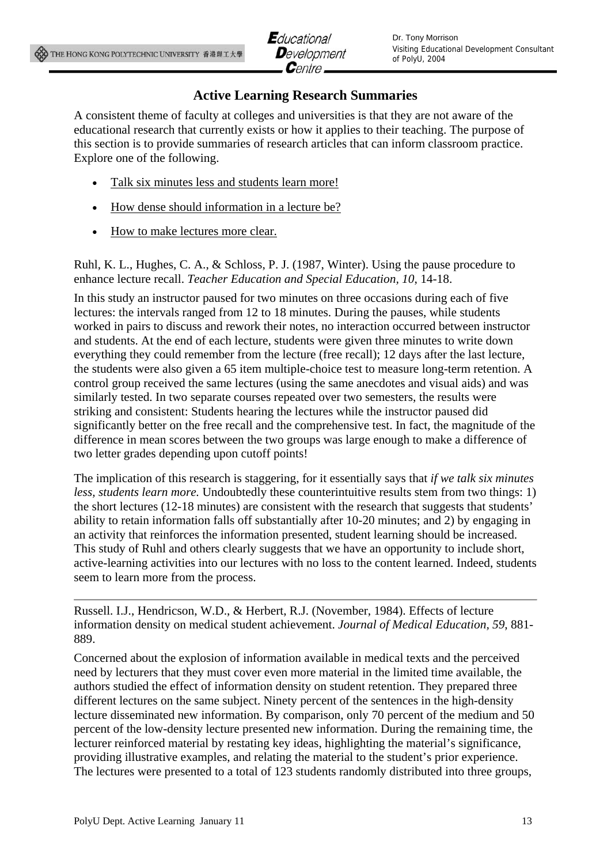### **Active Learning Research Summaries**

A consistent theme of faculty at colleges and universities is that they are not aware of the educational research that currently exists or how it applies to their teaching. The purpose of this section is to provide summaries of research articles that can inform classroom practice. Explore one of the following.

- Talk six minutes less and students learn more!
- How dense should information in a lecture be?
- How to make lectures more clear.

Ruhl, K. L., Hughes, C. A., & Schloss, P. J. (1987, Winter). Using the pause procedure to enhance lecture recall. *Teacher Education and Special Education, 10*, 14-18.

In this study an instructor paused for two minutes on three occasions during each of five lectures: the intervals ranged from 12 to 18 minutes. During the pauses, while students worked in pairs to discuss and rework their notes, no interaction occurred between instructor and students. At the end of each lecture, students were given three minutes to write down everything they could remember from the lecture (free recall); 12 days after the last lecture, the students were also given a 65 item multiple-choice test to measure long-term retention. A control group received the same lectures (using the same anecdotes and visual aids) and was similarly tested. In two separate courses repeated over two semesters, the results were striking and consistent: Students hearing the lectures while the instructor paused did significantly better on the free recall and the comprehensive test. In fact, the magnitude of the difference in mean scores between the two groups was large enough to make a difference of two letter grades depending upon cutoff points!

The implication of this research is staggering, for it essentially says that *if we talk six minutes less, students learn more.* Undoubtedly these counterintuitive results stem from two things: 1) the short lectures (12-18 minutes) are consistent with the research that suggests that students' ability to retain information falls off substantially after 10-20 minutes; and 2) by engaging in an activity that reinforces the information presented, student learning should be increased. This study of Ruhl and others clearly suggests that we have an opportunity to include short, active-learning activities into our lectures with no loss to the content learned. Indeed, students seem to learn more from the process.

Russell. I.J., Hendricson, W.D., & Herbert, R.J. (November, 1984). Effects of lecture information density on medical student achievement. *Journal of Medical Education, 59*, 881- 889.

Concerned about the explosion of information available in medical texts and the perceived need by lecturers that they must cover even more material in the limited time available, the authors studied the effect of information density on student retention. They prepared three different lectures on the same subject. Ninety percent of the sentences in the high-density lecture disseminated new information. By comparison, only 70 percent of the medium and 50 percent of the low-density lecture presented new information. During the remaining time, the lecturer reinforced material by restating key ideas, highlighting the material's significance, providing illustrative examples, and relating the material to the student's prior experience. The lectures were presented to a total of 123 students randomly distributed into three groups,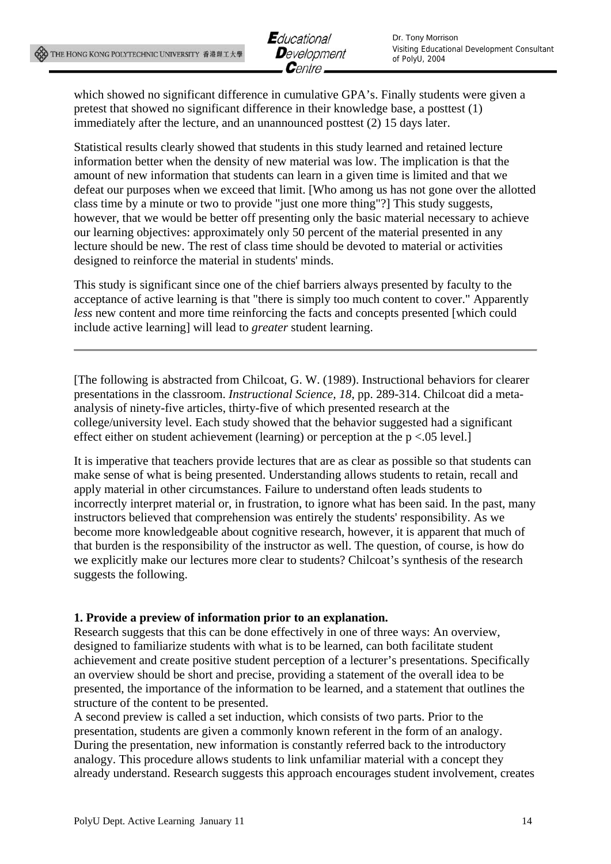

which showed no significant difference in cumulative GPA's. Finally students were given a pretest that showed no significant difference in their knowledge base, a posttest (1) immediately after the lecture, and an unannounced posttest (2) 15 days later.

Statistical results clearly showed that students in this study learned and retained lecture information better when the density of new material was low. The implication is that the amount of new information that students can learn in a given time is limited and that we defeat our purposes when we exceed that limit. [Who among us has not gone over the allotted class time by a minute or two to provide "just one more thing"?] This study suggests, however, that we would be better off presenting only the basic material necessary to achieve our learning objectives: approximately only 50 percent of the material presented in any lecture should be new. The rest of class time should be devoted to material or activities designed to reinforce the material in students' minds.

This study is significant since one of the chief barriers always presented by faculty to the acceptance of active learning is that "there is simply too much content to cover." Apparently *less* new content and more time reinforcing the facts and concepts presented [which could include active learning] will lead to *greater* student learning.

[The following is abstracted from Chilcoat, G. W. (1989). Instructional behaviors for clearer presentations in the classroom. *Instructional Science, 18*, pp. 289-314. Chilcoat did a metaanalysis of ninety-five articles, thirty-five of which presented research at the college/university level. Each study showed that the behavior suggested had a significant effect either on student achievement (learning) or perception at the p <.05 level.]

It is imperative that teachers provide lectures that are as clear as possible so that students can make sense of what is being presented. Understanding allows students to retain, recall and apply material in other circumstances. Failure to understand often leads students to incorrectly interpret material or, in frustration, to ignore what has been said. In the past, many instructors believed that comprehension was entirely the students' responsibility. As we become more knowledgeable about cognitive research, however, it is apparent that much of that burden is the responsibility of the instructor as well. The question, of course, is how do we explicitly make our lectures more clear to students? Chilcoat's synthesis of the research suggests the following.

#### **1. Provide a preview of information prior to an explanation.**

Research suggests that this can be done effectively in one of three ways: An overview, designed to familiarize students with what is to be learned, can both facilitate student achievement and create positive student perception of a lecturer's presentations. Specifically an overview should be short and precise, providing a statement of the overall idea to be presented, the importance of the information to be learned, and a statement that outlines the structure of the content to be presented.

A second preview is called a set induction, which consists of two parts. Prior to the presentation, students are given a commonly known referent in the form of an analogy. During the presentation, new information is constantly referred back to the introductory analogy. This procedure allows students to link unfamiliar material with a concept they already understand. Research suggests this approach encourages student involvement, creates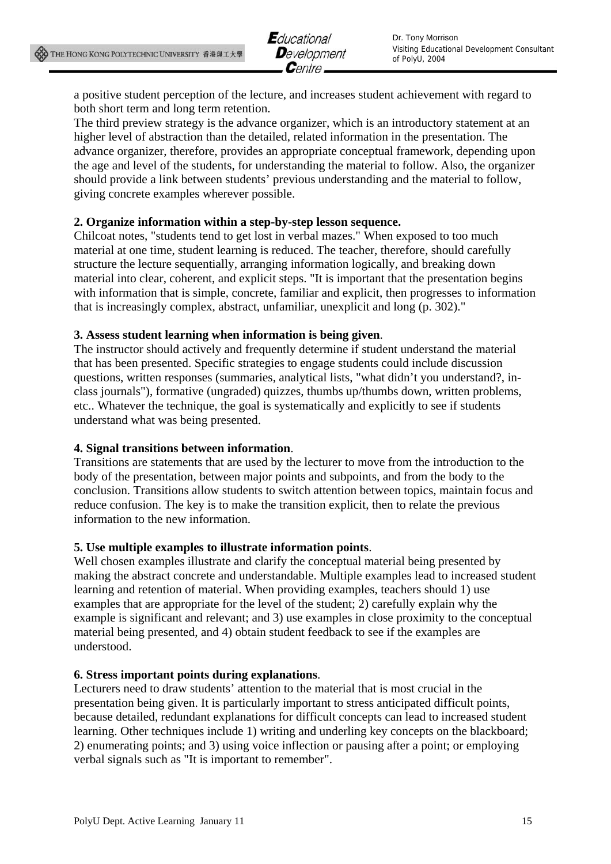a positive student perception of the lecture, and increases student achievement with regard to both short term and long term retention.

The third preview strategy is the advance organizer, which is an introductory statement at an higher level of abstraction than the detailed, related information in the presentation. The advance organizer, therefore, provides an appropriate conceptual framework, depending upon the age and level of the students, for understanding the material to follow. Also, the organizer should provide a link between students' previous understanding and the material to follow, giving concrete examples wherever possible.

#### **2. Organize information within a step-by-step lesson sequence.**

Chilcoat notes, "students tend to get lost in verbal mazes." When exposed to too much material at one time, student learning is reduced. The teacher, therefore, should carefully structure the lecture sequentially, arranging information logically, and breaking down material into clear, coherent, and explicit steps. "It is important that the presentation begins with information that is simple, concrete, familiar and explicit, then progresses to information that is increasingly complex, abstract, unfamiliar, unexplicit and long (p. 302)."

#### **3. Assess student learning when information is being given**.

The instructor should actively and frequently determine if student understand the material that has been presented. Specific strategies to engage students could include discussion questions, written responses (summaries, analytical lists, "what didn't you understand?, inclass journals"), formative (ungraded) quizzes, thumbs up/thumbs down, written problems, etc.. Whatever the technique, the goal is systematically and explicitly to see if students understand what was being presented.

#### **4. Signal transitions between information**.

Transitions are statements that are used by the lecturer to move from the introduction to the body of the presentation, between major points and subpoints, and from the body to the conclusion. Transitions allow students to switch attention between topics, maintain focus and reduce confusion. The key is to make the transition explicit, then to relate the previous information to the new information.

#### **5. Use multiple examples to illustrate information points**.

Well chosen examples illustrate and clarify the conceptual material being presented by making the abstract concrete and understandable. Multiple examples lead to increased student learning and retention of material. When providing examples, teachers should 1) use examples that are appropriate for the level of the student; 2) carefully explain why the example is significant and relevant; and 3) use examples in close proximity to the conceptual material being presented, and 4) obtain student feedback to see if the examples are understood.

#### **6. Stress important points during explanations**.

Lecturers need to draw students' attention to the material that is most crucial in the presentation being given. It is particularly important to stress anticipated difficult points, because detailed, redundant explanations for difficult concepts can lead to increased student learning. Other techniques include 1) writing and underling key concepts on the blackboard; 2) enumerating points; and 3) using voice inflection or pausing after a point; or employing verbal signals such as "It is important to remember".